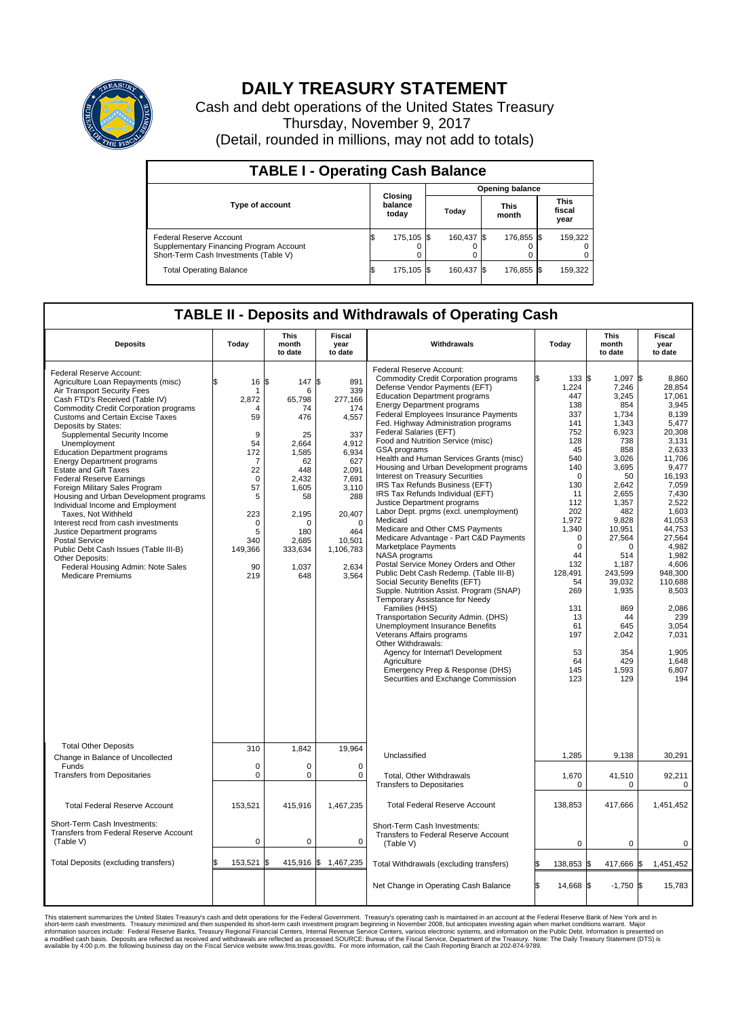

## **DAILY TREASURY STATEMENT**

Cash and debt operations of the United States Treasury Thursday, November 9, 2017 (Detail, rounded in millions, may not add to totals)

| <b>TABLE I - Operating Cash Balance</b>                                                                     |                             |            |       |                        |                      |            |                               |         |  |  |  |
|-------------------------------------------------------------------------------------------------------------|-----------------------------|------------|-------|------------------------|----------------------|------------|-------------------------------|---------|--|--|--|
|                                                                                                             |                             |            |       | <b>Opening balance</b> |                      |            |                               |         |  |  |  |
| <b>Type of account</b>                                                                                      | Closing<br>balance<br>today |            | Today |                        | <b>This</b><br>month |            | <b>This</b><br>fiscal<br>year |         |  |  |  |
| Federal Reserve Account<br>Supplementary Financing Program Account<br>Short-Term Cash Investments (Table V) |                             | 175.105 \$ |       | 160.437 \$             |                      | 176.855 \$ |                               | 159,322 |  |  |  |
| <b>Total Operating Balance</b>                                                                              | ß.                          | 175,105 \$ |       | 160,437 \$             |                      | 176,855 \$ |                               | 159,322 |  |  |  |

## **TABLE II - Deposits and Withdrawals of Operating Cash**

| <b>Deposits</b>                                                                                                                                                                                                                                                                                                                                                                                                                                                                                                                                                                                                                                                                                                                                                                                                      | Today                                                                                                                                                   | <b>This</b><br>month<br>to date                                                                                                                                      | <b>Fiscal</b><br>year<br>to date                                                                                                                                                 | Withdrawals                                                                                                                                                                                                                                                                                                                                                                                                                                                                                                                                                                                                                                                                                                                                                                                                                                                                                                                                                                                                                                                                                                                                                                                                                                                  | Today                                                                                                                                                                                                                                                                  | This<br>month<br>to date                                                                                                                                                                                                                                                        | <b>Fiscal</b><br>year<br>to date                                                                                                                                                                                                                                                                              |  |  |
|----------------------------------------------------------------------------------------------------------------------------------------------------------------------------------------------------------------------------------------------------------------------------------------------------------------------------------------------------------------------------------------------------------------------------------------------------------------------------------------------------------------------------------------------------------------------------------------------------------------------------------------------------------------------------------------------------------------------------------------------------------------------------------------------------------------------|---------------------------------------------------------------------------------------------------------------------------------------------------------|----------------------------------------------------------------------------------------------------------------------------------------------------------------------|----------------------------------------------------------------------------------------------------------------------------------------------------------------------------------|--------------------------------------------------------------------------------------------------------------------------------------------------------------------------------------------------------------------------------------------------------------------------------------------------------------------------------------------------------------------------------------------------------------------------------------------------------------------------------------------------------------------------------------------------------------------------------------------------------------------------------------------------------------------------------------------------------------------------------------------------------------------------------------------------------------------------------------------------------------------------------------------------------------------------------------------------------------------------------------------------------------------------------------------------------------------------------------------------------------------------------------------------------------------------------------------------------------------------------------------------------------|------------------------------------------------------------------------------------------------------------------------------------------------------------------------------------------------------------------------------------------------------------------------|---------------------------------------------------------------------------------------------------------------------------------------------------------------------------------------------------------------------------------------------------------------------------------|---------------------------------------------------------------------------------------------------------------------------------------------------------------------------------------------------------------------------------------------------------------------------------------------------------------|--|--|
| Federal Reserve Account:<br>Agriculture Loan Repayments (misc)<br>Air Transport Security Fees<br>Cash FTD's Received (Table IV)<br><b>Commodity Credit Corporation programs</b><br><b>Customs and Certain Excise Taxes</b><br>Deposits by States:<br>Supplemental Security Income<br>Unemployment<br><b>Education Department programs</b><br><b>Energy Department programs</b><br><b>Estate and Gift Taxes</b><br><b>Federal Reserve Earnings</b><br>Foreign Military Sales Program<br>Housing and Urban Development programs<br>Individual Income and Employment<br>Taxes, Not Withheld<br>Interest recd from cash investments<br>Justice Department programs<br><b>Postal Service</b><br>Public Debt Cash Issues (Table III-B)<br>Other Deposits:<br>Federal Housing Admin: Note Sales<br><b>Medicare Premiums</b> | \$<br>16<br>2,872<br>Δ<br>59<br>9<br>54<br>172<br>$\overline{7}$<br>22<br>$\Omega$<br>57<br>5<br>223<br>$\mathbf 0$<br>5<br>340<br>149,366<br>90<br>219 | 147S<br>l\$<br>6<br>65,798<br>74<br>476<br>25<br>2.664<br>1,585<br>62<br>448<br>2.432<br>1,605<br>58<br>2,195<br>$\Omega$<br>180<br>2,685<br>333,634<br>1,037<br>648 | 891<br>339<br>277,166<br>174<br>4,557<br>337<br>4.912<br>6,934<br>627<br>2,091<br>7.691<br>3,110<br>288<br>20,407<br>$\mathbf 0$<br>464<br>10,501<br>1,106,783<br>2,634<br>3,564 | Federal Reserve Account:<br><b>Commodity Credit Corporation programs</b><br>Defense Vendor Payments (EFT)<br><b>Education Department programs</b><br><b>Energy Department programs</b><br><b>Federal Employees Insurance Payments</b><br>Fed. Highway Administration programs<br>Federal Salaries (EFT)<br>Food and Nutrition Service (misc)<br><b>GSA</b> programs<br>Health and Human Services Grants (misc)<br>Housing and Urban Development programs<br>Interest on Treasury Securities<br>IRS Tax Refunds Business (EFT)<br>IRS Tax Refunds Individual (EFT)<br>Justice Department programs<br>Labor Dept. prgms (excl. unemployment)<br>Medicaid<br>Medicare and Other CMS Payments<br>Medicare Advantage - Part C&D Payments<br>Marketplace Payments<br>NASA programs<br>Postal Service Money Orders and Other<br>Public Debt Cash Redemp. (Table III-B)<br>Social Security Benefits (EFT)<br>Supple. Nutrition Assist. Program (SNAP)<br>Temporary Assistance for Needy<br>Families (HHS)<br>Transportation Security Admin. (DHS)<br>Unemployment Insurance Benefits<br>Veterans Affairs programs<br>Other Withdrawals:<br>Agency for Internat'l Development<br>Agriculture<br>Emergency Prep & Response (DHS)<br>Securities and Exchange Commission | 133 \$<br>ß.<br>1,224<br>447<br>138<br>337<br>141<br>752<br>128<br>45<br>540<br>140<br>$\mathbf 0$<br>130<br>11<br>112<br>202<br>1,972<br>1,340<br>$\mathbf 0$<br>$\mathbf 0$<br>44<br>132<br>128,491<br>54<br>269<br>131<br>13<br>61<br>197<br>53<br>64<br>145<br>123 | 1,097 \$<br>7,246<br>3,245<br>854<br>1,734<br>1,343<br>6.923<br>738<br>858<br>3,026<br>3,695<br>50<br>2.642<br>2,655<br>1,357<br>482<br>9,828<br>10,951<br>27,564<br>0<br>514<br>1.187<br>243,599<br>39,032<br>1,935<br>869<br>44<br>645<br>2,042<br>354<br>429<br>1,593<br>129 | 8,860<br>28,854<br>17,061<br>3.945<br>8,139<br>5,477<br>20.308<br>3,131<br>2.633<br>11,706<br>9,477<br>16,193<br>7.059<br>7,430<br>2,522<br>1,603<br>41,053<br>44,753<br>27,564<br>4,982<br>1,982<br>4.606<br>948,300<br>110,688<br>8,503<br>2,086<br>239<br>3.054<br>7,031<br>1,905<br>1,648<br>6,807<br>194 |  |  |
| <b>Total Other Deposits</b>                                                                                                                                                                                                                                                                                                                                                                                                                                                                                                                                                                                                                                                                                                                                                                                          | 310                                                                                                                                                     | 1,842                                                                                                                                                                | 19,964                                                                                                                                                                           | Unclassified                                                                                                                                                                                                                                                                                                                                                                                                                                                                                                                                                                                                                                                                                                                                                                                                                                                                                                                                                                                                                                                                                                                                                                                                                                                 | 1,285                                                                                                                                                                                                                                                                  | 9,138                                                                                                                                                                                                                                                                           | 30,291                                                                                                                                                                                                                                                                                                        |  |  |
| Change in Balance of Uncollected<br>Funds                                                                                                                                                                                                                                                                                                                                                                                                                                                                                                                                                                                                                                                                                                                                                                            | $\mathbf 0$                                                                                                                                             | 0                                                                                                                                                                    | $\mathbf 0$                                                                                                                                                                      |                                                                                                                                                                                                                                                                                                                                                                                                                                                                                                                                                                                                                                                                                                                                                                                                                                                                                                                                                                                                                                                                                                                                                                                                                                                              |                                                                                                                                                                                                                                                                        |                                                                                                                                                                                                                                                                                 |                                                                                                                                                                                                                                                                                                               |  |  |
| <b>Transfers from Depositaries</b>                                                                                                                                                                                                                                                                                                                                                                                                                                                                                                                                                                                                                                                                                                                                                                                   | $\pmb{0}$                                                                                                                                               | 0                                                                                                                                                                    | 0                                                                                                                                                                                | Total, Other Withdrawals<br><b>Transfers to Depositaries</b>                                                                                                                                                                                                                                                                                                                                                                                                                                                                                                                                                                                                                                                                                                                                                                                                                                                                                                                                                                                                                                                                                                                                                                                                 | 1,670<br>$\mathbf 0$                                                                                                                                                                                                                                                   | 41,510<br>$\mathbf 0$                                                                                                                                                                                                                                                           | 92,211<br>$\mathbf 0$                                                                                                                                                                                                                                                                                         |  |  |
| <b>Total Federal Reserve Account</b>                                                                                                                                                                                                                                                                                                                                                                                                                                                                                                                                                                                                                                                                                                                                                                                 | 153,521                                                                                                                                                 | 415,916                                                                                                                                                              | 1,467,235                                                                                                                                                                        | <b>Total Federal Reserve Account</b>                                                                                                                                                                                                                                                                                                                                                                                                                                                                                                                                                                                                                                                                                                                                                                                                                                                                                                                                                                                                                                                                                                                                                                                                                         | 138,853                                                                                                                                                                                                                                                                | 417,666                                                                                                                                                                                                                                                                         | 1,451,452                                                                                                                                                                                                                                                                                                     |  |  |
| Short-Term Cash Investments:<br>Transfers from Federal Reserve Account<br>(Table V)                                                                                                                                                                                                                                                                                                                                                                                                                                                                                                                                                                                                                                                                                                                                  | $\pmb{0}$                                                                                                                                               | 0                                                                                                                                                                    | 0                                                                                                                                                                                | Short-Term Cash Investments:<br>Transfers to Federal Reserve Account<br>(Table V)                                                                                                                                                                                                                                                                                                                                                                                                                                                                                                                                                                                                                                                                                                                                                                                                                                                                                                                                                                                                                                                                                                                                                                            | $\mathbf 0$                                                                                                                                                                                                                                                            | 0                                                                                                                                                                                                                                                                               | 0                                                                                                                                                                                                                                                                                                             |  |  |
| Total Deposits (excluding transfers)                                                                                                                                                                                                                                                                                                                                                                                                                                                                                                                                                                                                                                                                                                                                                                                 | 153,521<br>\$                                                                                                                                           |                                                                                                                                                                      | 415,916 \$ 1,467,235                                                                                                                                                             | Total Withdrawals (excluding transfers)                                                                                                                                                                                                                                                                                                                                                                                                                                                                                                                                                                                                                                                                                                                                                                                                                                                                                                                                                                                                                                                                                                                                                                                                                      | 138,853 \$                                                                                                                                                                                                                                                             | 417,666 \$                                                                                                                                                                                                                                                                      | 1,451,452                                                                                                                                                                                                                                                                                                     |  |  |
|                                                                                                                                                                                                                                                                                                                                                                                                                                                                                                                                                                                                                                                                                                                                                                                                                      |                                                                                                                                                         |                                                                                                                                                                      |                                                                                                                                                                                  | Net Change in Operating Cash Balance                                                                                                                                                                                                                                                                                                                                                                                                                                                                                                                                                                                                                                                                                                                                                                                                                                                                                                                                                                                                                                                                                                                                                                                                                         | l\$<br>14,668 \$                                                                                                                                                                                                                                                       | $-1,750$ \$                                                                                                                                                                                                                                                                     | 15,783                                                                                                                                                                                                                                                                                                        |  |  |

This statement summarizes the United States Treasury's cash and debt operations for the Federal Government. Treasury soperating in November 2008, but anticiarde in a cocount at the Federal Reserve Bank of New York and in<br>s